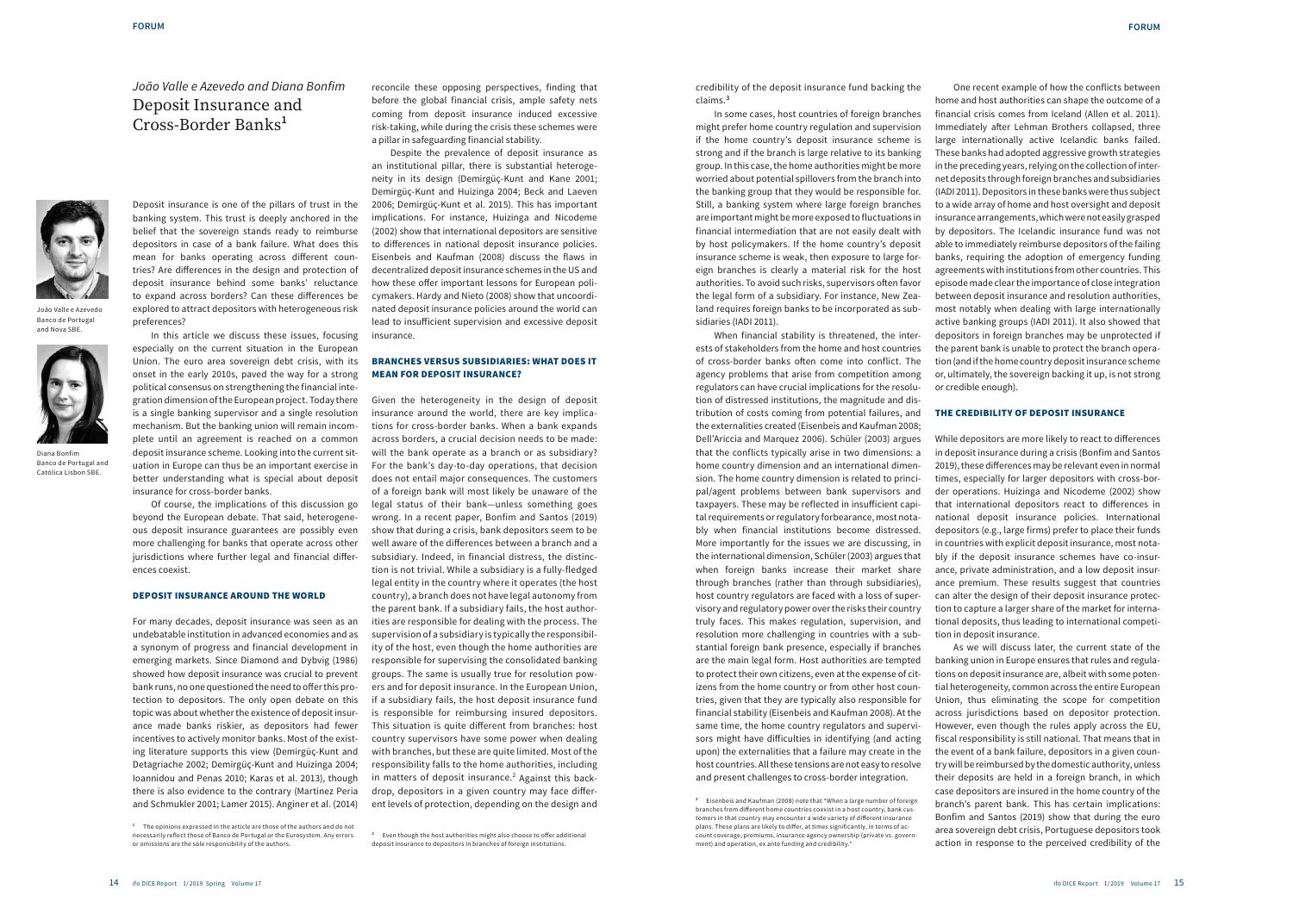credibility of the deposit insurance fund backing the claims.**<sup>3</sup>**

In some cases, host countries of foreign branches might prefer home country regulation and supervision if the home country's deposit insurance scheme is strong and if the branch is large relative to its banking group. In this case, the home authorities might be more worried about potential spillovers from the branch into the banking group that they would be responsible for. Still, a banking system where large foreign branches are important might be more exposed to fluctuations in financial intermediation that are not easily dealt with by host policymakers. If the home country's deposit insurance scheme is weak, then exposure to large foreign branches is clearly a material risk for the host authorities. To avoid such risks, supervisors often favor the legal form of a subsidiary. For instance, New Zealand requires foreign banks to be incorporated as subsidiaries (IADI 2011).

When financial stability is threatened, the interests of stakeholders from the home and host countries of cross-border banks often come into conflict. The agency problems that arise from competition among regulators can have crucial implications for the resolution of distressed institutions, the magnitude and distribution of costs coming from potential failures, and the externalities created (Eisenbeis and Kaufman 2008; Dell'Ariccia and Marquez 2006). Schüler (2003) argues

that the conflicts typically arise in two dimensions: a home country dimension and an international dimension. The home country dimension is related to principal/agent problems between bank supervisors and taxpayers. These may be reflected in insufficient capital requirements or regulatory forbearance, most notably when financial institutions become distressed. More importantly for the issues we are discussing, in the international dimension, Schüler (2003) argues that when foreign banks increase their market share through branches (rather than through subsidiaries), host country regulators are faced with a loss of supervisory and regulatory power over the risks their country truly faces. This makes regulation, supervision, and resolution more challenging in countries with a substantial foreign bank presence, especially if branches are the main legal form. Host authorities are tempted to protect their own citizens, even at the expense of citizens from the home country or from other host countries, given that they are typically also responsible for financial stability (Eisenbeis and Kaufman 2008). At the same time, the home country regulators and supervisors might have difficulties in identifying (and acting upon) the externalities that a failure may create in the host countries. All these tensions are not easy to resolve and present challenges to cross-border integration.

One recent example of how the conflicts between home and host authorities can shape the outcome of a financial crisis comes from Iceland (Allen et al. 2011). Immediately after Lehman Brothers collapsed, three large internationally active Icelandic banks failed. These banks had adopted aggressive growth strategies in the preceding years, relying on the collection of internet deposits through foreign branches and subsidiaries (IADI 2011). Depositors in these banks were thus subject to a wide array of home and host oversight and deposit insurance arrangements, which were not easily grasped by depositors. The Icelandic insurance fund was not able to immediately reimburse depositors of the failing banks, requiring the adoption of emergency funding agreements with institutions from other countries. This episode made clear the importance of close integration between deposit insurance and resolution authorities, most notably when dealing with large internationally active banking groups (IADI 2011). It also showed that depositors in foreign branches may be unprotected if the parent bank is unable to protect the branch operation (and if the home country deposit insurance scheme or, ultimately, the sovereign backing it up, is not strong or credible enough).

#### THE CREDIBILITY OF DEPOSIT INSURANCE

While depositors are more likely to react to differences in deposit insurance during a crisis (Bonfim and Santos 2019), these differences may be relevant even in normal times, especially for larger depositors with cross-border operations. Huizinga and Nicodeme (2002) show that international depositors react to differences in national deposit insurance policies. International depositors (e.g., large firms) prefer to place their funds in countries with explicit deposit insurance, most notably if the deposit insurance schemes have co-insurance, private administration, and a low deposit insurance premium. These results suggest that countries can alter the design of their deposit insurance protection to capture a larger share of the market for international deposits, thus leading to international competition in deposit insurance.

As we will discuss later, the current state of the banking union in Europe ensures that rules and regulations on deposit insurance are, albeit with some potential heterogeneity, common across the entire European Union, thus eliminating the scope for competition across jurisdictions based on depositor protection. However, even though the rules apply across the EU, fiscal responsibility is still national. That means that in the event of a bank failure, depositors in a given country will be reimbursed by the domestic authority, unless their deposits are held in a foreign branch, in which case depositors are insured in the home country of the branch's parent bank. This has certain implications: Bonfim and Santos (2019) show that during the euro area sovereign debt crisis, Portuguese depositors took action in response to the perceived credibility of the



João Valle e Azevedo Banco de Portugal and Nova SBE.



Diana Bonfim Banco de Portugal and Católica Lisbon SBE.

# João Valle e Azevedo and Diana Bonfim Deposit Insurance and Cross-Border Banks**<sup>1</sup>**

Deposit insurance is one of the pillars of trust in the banking system. This trust is deeply anchored in the belief that the sovereign stands ready to reimburse depositors in case of a bank failure. What does this mean for banks operating across different countries? Are differences in the design and protection of deposit insurance behind some banks' reluctance to expand across borders? Can these differences be explored to attract depositors with heterogeneous risk preferences?

In this article we discuss these issues, focusing especially on the current situation in the European Union. The euro area sovereign debt crisis, with its onset in the early 2010s, paved the way for a strong political consensus on strengthening the financial integration dimension of the European project. Today there is a single banking supervisor and a single resolution mechanism. But the banking union will remain incomplete until an agreement is reached on a common deposit insurance scheme. Looking into the current situation in Europe can thus be an important exercise in better understanding what is special about deposit insurance for cross-border banks.

Of course, the implications of this discussion go beyond the European debate. That said, heterogeneous deposit insurance guarantees are possibly even more challenging for banks that operate across other jurisdictions where further legal and financial differences coexist.

#### DEPOSIT INSURANCE AROUND THE WORLD

For many decades, deposit insurance was seen as an undebatable institution in advanced economies and as a synonym of progress and financial development in emerging markets. Since Diamond and Dybvig (1986) showed how deposit insurance was crucial to prevent bank runs, no one questioned the need to offer this protection to depositors. The only open debate on this topic was about whether the existence of deposit insurance made banks riskier, as depositors had fewer incentives to actively monitor banks. Most of the existing literature supports this view (Demirgüç-Kunt and Detagriache 2002; Demirgüç-Kunt and Huizinga 2004; Ioannidou and Penas 2010; Karas et al. 2013), though there is also evidence to the contrary (Martinez Peria and Schmukler 2001; Lamer 2015). Anginer et al. (2014)

reconcile these opposing perspectives, finding that before the global financial crisis, ample safety nets coming from deposit insurance induced excessive risk-taking, while during the crisis these schemes were a pillar in safeguarding financial stability.

Despite the prevalence of deposit insurance as an institutional pillar, there is substantial heterogeneity in its design (Demirgüç-Kunt and Kane 2001; Demirgüç-Kunt and Huizinga 2004; Beck and Laeven 2006; Demirgüç-Kunt et al. 2015). This has important implications. For instance, Huizinga and Nicodeme (2002) show that international depositors are sensitive to differences in national deposit insurance policies. Eisenbeis and Kaufman (2008) discuss the flaws in decentralized deposit insurance schemes in the US and how these offer important lessons for European policymakers. Hardy and Nieto (2008) show that uncoordinated deposit insurance policies around the world can lead to insufficient supervision and excessive deposit insurance.

### BRANCHES VERSUS SUBSIDIARIES: WHAT DOES IT MEAN FOR DEPOSIT INSURANCE?

Given the heterogeneity in the design of deposit insurance around the world, there are key implications for cross-border banks. When a bank expands across borders, a crucial decision needs to be made: will the bank operate as a branch or as subsidiary? For the bank's day-to-day operations, that decision does not entail major consequences. The customers of a foreign bank will most likely be unaware of the legal status of their bank—unless something goes wrong. In a recent paper, Bonfim and Santos (2019) show that during a crisis, bank depositors seem to be well aware of the differences between a branch and a subsidiary. Indeed, in financial distress, the distinction is not trivial. While a subsidiary is a fully-fledged legal entity in the country where it operates (the host country), a branch does not have legal autonomy from the parent bank. If a subsidiary fails, the host authorities are responsible for dealing with the process. The supervision of a subsidiary is typically the responsibility of the host, even though the home authorities are responsible for supervising the consolidated banking groups. The same is usually true for resolution powers and for deposit insurance. In the European Union, if a subsidiary fails, the host deposit insurance fund is responsible for reimbursing insured depositors. This situation is quite different from branches: host country supervisors have some power when dealing with branches, but these are quite limited. Most of the responsibility falls to the home authorities, including in matters of deposit insurance.<sup>2</sup> Against this backdrop, depositors in a given country may face different levels of protection, depending on the design and

**<sup>3</sup>** Eisenbeis and Kaufman (2008) note that "When a large number of foreign branches from different home countries coexist in a host country, bank customers in that country may encounter a wide variety of different insurance plans. These plans are likely to differ, at times significantly, in terms of account coverage, premiums, insurance agency ownership (private vs. government) and operation, ex ante funding and credibility."

**<sup>2</sup>** Even though the host authorities might also choose to offer additional deposit insurance to depositors in branches of foreign institu

**<sup>1</sup>** The opinions expressed in the article are those of the authors and do not necessarily reflect those of Banco de Portugal or the Eurosystem. Any errors or omissions are the sole responsibility of the authors.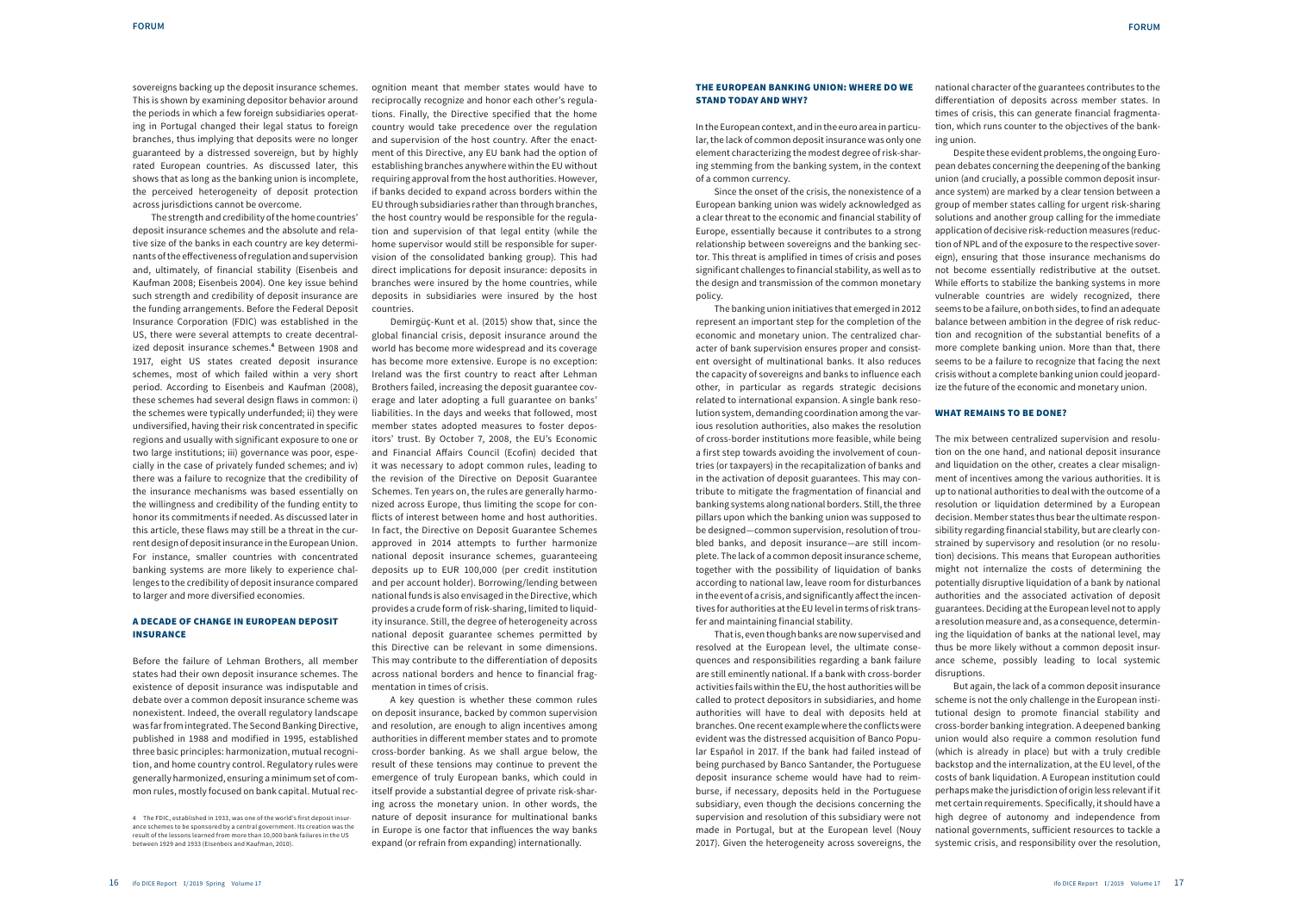#### THE EUROPEAN BANKING UNION: WHERE DO WE STAND TODAY AND WHY?

In the European context, and in the euro area in particular, the lack of common deposit insurance was only one element characterizing the modest degree of risk-sharing stemming from the banking system, in the context of a common currency.

Since the onset of the crisis, the nonexistence of a European banking union was widely acknowledged as a clear threat to the economic and financial stability of Europe, essentially because it contributes to a strong relationship between sovereigns and the banking sector. This threat is amplified in times of crisis and poses significant challenges to financial stability, as well as to the design and transmission of the common monetary policy.

The banking union initiatives that emerged in 2012 represent an important step for the completion of the economic and monetary union. The centralized character of bank supervision ensures proper and consistent oversight of multinational banks. It also reduces the capacity of sovereigns and banks to influence each other, in particular as regards strategic decisions related to international expansion. A single bank resolution system, demanding coordination among the various resolution authorities, also makes the resolution of cross-border institutions more feasible, while being a first step towards avoiding the involvement of countries (or taxpayers) in the recapitalization of banks and in the activation of deposit guarantees. This may contribute to mitigate the fragmentation of financial and banking systems along national borders. Still, the three pillars upon which the banking union was supposed to be designed—common supervision, resolution of troubled banks, and deposit insurance—are still incomplete. The lack of a common deposit insurance scheme, together with the possibility of liquidation of banks according to national law, leave room for disturbances in the event of a crisis, and significantly affect the incentives for authorities at the EU level in terms of risk transfer and maintaining financial stability.

That is, even though banks are now supervised and resolved at the European level, the ultimate consequences and responsibilities regarding a bank failure are still eminently national. If a bank with cross-border activities fails within the EU, the host authorities will be called to protect depositors in subsidiaries, and home authorities will have to deal with deposits held at branches. One recent example where the conflicts were evident was the distressed acquisition of Banco Popular Español in 2017. If the bank had failed instead of being purchased by Banco Santander, the Portuguese deposit insurance scheme would have had to reimburse, if necessary, deposits held in the Portuguese subsidiary, even though the decisions concerning the supervision and resolution of this subsidiary were not made in Portugal, but at the European level (Nouy 2017). Given the heterogeneity across sovereigns, the national character of the guarantees contributes to the differentiation of deposits across member states. In times of crisis, this can generate financial fragmentation, which runs counter to the objectives of the bank-

ing union.

Despite these evident problems, the ongoing European debates concerning the deepening of the banking union (and crucially, a possible common deposit insurance system) are marked by a clear tension between a group of member states calling for urgent risk-sharing solutions and another group calling for the immediate application of decisive risk-reduction measures (reduction of NPL and of the exposure to the respective sovereign), ensuring that those insurance mechanisms do not become essentially redistributive at the outset. While efforts to stabilize the banking systems in more vulnerable countries are widely recognized, there seems to be a failure, on both sides, to find an adequate balance between ambition in the degree of risk reduction and recognition of the substantial benefits of a more complete banking union. More than that, there seems to be a failure to recognize that facing the next crisis without a complete banking union could jeopardize the future of the economic and monetary union.

#### WHAT REMAINS TO BE DONE?

The mix between centralized supervision and resolution on the one hand, and national deposit insurance and liquidation on the other, creates a clear misalignment of incentives among the various authorities. It is up to national authorities to deal with the outcome of a resolution or liquidation determined by a European decision. Member states thus bear the ultimate responsibility regarding financial stability, but are clearly constrained by supervisory and resolution (or no resolution) decisions. This means that European authorities might not internalize the costs of determining the potentially disruptive liquidation of a bank by national authorities and the associated activation of deposit guarantees. Deciding at the European level not to apply a resolution measure and, as a consequence, determining the liquidation of banks at the national level, may thus be more likely without a common deposit insurance scheme, possibly leading to local systemic

disruptions.

But again, the lack of a common deposit insurance scheme is not the only challenge in the European institutional design to promote financial stability and cross-border banking integration. A deepened banking union would also require a common resolution fund (which is already in place) but with a truly credible backstop and the internalization, at the EU level, of the costs of bank liquidation. A European institution could perhaps make the jurisdiction of origin less relevant if it met certain requirements. Specifically, it should have a high degree of autonomy and independence from national governments, sufficient resources to tackle a systemic crisis, and responsibility over the resolution,

sovereigns backing up the deposit insurance schemes. This is shown by examining depositor behavior around the periods in which a few foreign subsidiaries operating in Portugal changed their legal status to foreign branches, thus implying that deposits were no longer guaranteed by a distressed sovereign, but by highly rated European countries. As discussed later, this shows that as long as the banking union is incomplete, the perceived heterogeneity of deposit protection across jurisdictions cannot be overcome.

The strength and credibility of the home countries' deposit insurance schemes and the absolute and relative size of the banks in each country are key determinants of the effectiveness of regulation and supervision and, ultimately, of financial stability (Eisenbeis and Kaufman 2008; Eisenbeis 2004). One key issue behind such strength and credibility of deposit insurance are the funding arrangements. Before the Federal Deposit Insurance Corporation (FDIC) was established in the US, there were several attempts to create decentralized deposit insurance schemes.**<sup>4</sup>** Between 1908 and 1917, eight US states created deposit insurance schemes, most of which failed within a very short period. According to Eisenbeis and Kaufman (2008), these schemes had several design flaws in common: i) the schemes were typically underfunded; ii) they were undiversified, having their risk concentrated in specific regions and usually with significant exposure to one or two large institutions; iii) governance was poor, especially in the case of privately funded schemes; and iv) there was a failure to recognize that the credibility of the insurance mechanisms was based essentially on the willingness and credibility of the funding entity to honor its commitments if needed. As discussed later in this article, these flaws may still be a threat in the current design of deposit insurance in the European Union. For instance, smaller countries with concentrated banking systems are more likely to experience challenges to the credibility of deposit insurance compared to larger and more diversified economies.

#### A DECADE OF CHANGE IN EUROPEAN DEPOSIT INSURANCE

Before the failure of Lehman Brothers, all member states had their own deposit insurance schemes. The existence of deposit insurance was indisputable and debate over a common deposit insurance scheme was nonexistent. Indeed, the overall regulatory landscape was far from integrated. The Second Banking Directive, published in 1988 and modified in 1995, established three basic principles: harmonization, mutual recognition, and home country control. Regulatory rules were generally harmonized, ensuring a minimum set of common rules, mostly focused on bank capital. Mutual recognition meant that member states would have to reciprocally recognize and honor each other's regulations. Finally, the Directive specified that the home country would take precedence over the regulation and supervision of the host country. After the enactment of this Directive, any EU bank had the option of establishing branches anywhere within the EU without requiring approval from the host authorities. However, if banks decided to expand across borders within the EU through subsidiaries rather than through branches, the host country would be responsible for the regulation and supervision of that legal entity (while the home supervisor would still be responsible for supervision of the consolidated banking group). This had direct implications for deposit insurance: deposits in branches were insured by the home countries, while deposits in subsidiaries were insured by the host countries.

Demirgüç-Kunt et al. (2015) show that, since the global financial crisis, deposit insurance around the world has become more widespread and its coverage has become more extensive. Europe is no exception: Ireland was the first country to react after Lehman Brothers failed, increasing the deposit guarantee coverage and later adopting a full guarantee on banks' liabilities. In the days and weeks that followed, most member states adopted measures to foster depositors' trust. By October 7, 2008, the EU's Economic and Financial Affairs Council (Ecofin) decided that it was necessary to adopt common rules, leading to the revision of the Directive on Deposit Guarantee Schemes. Ten years on, the rules are generally harmonized across Europe, thus limiting the scope for conflicts of interest between home and host authorities. In fact, the Directive on Deposit Guarantee Schemes approved in 2014 attempts to further harmonize national deposit insurance schemes, guaranteeing deposits up to EUR 100,000 (per credit institution and per account holder). Borrowing/lending between national funds is also envisaged in the Directive, which provides a crude form of risk-sharing, limited to liquidity insurance. Still, the degree of heterogeneity across national deposit guarantee schemes permitted by this Directive can be relevant in some dimensions. This may contribute to the differentiation of deposits across national borders and hence to financial fragmentation in times of crisis.

A key question is whether these common rules on deposit insurance, backed by common supervision and resolution, are enough to align incentives among authorities in different member states and to promote cross-border banking. As we shall argue below, the result of these tensions may continue to prevent the emergence of truly European banks, which could in itself provide a substantial degree of private risk-sharing across the monetary union. In other words, the nature of deposit insurance for multinational banks in Europe is one factor that influences the way banks expand (or refrain from expanding) internationally.

<sup>4</sup> The FDIC, established in 1933, was one of the world's first deposit insurance schemes to be sponsored by a central government. Its creation was the result of the lessons learned from more than 10,000 bank failures in the US between 1929 and 1933 (Eisenbeis and Kaufman, 2010).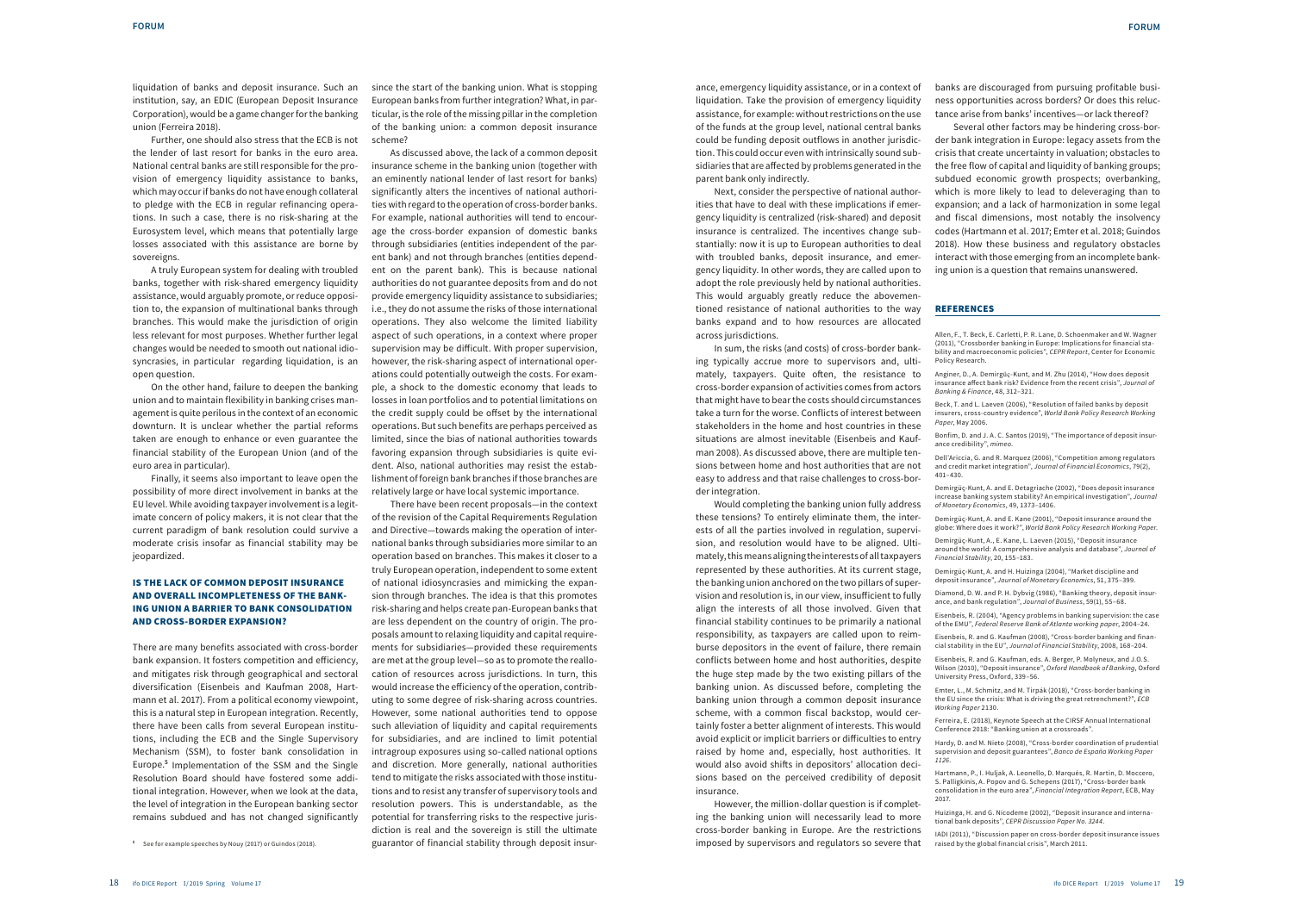ance, emergency liquidity assistance, or in a context of liquidation. Take the provision of emergency liquidity assistance, for example: without restrictions on the use of the funds at the group level, national central banks could be funding deposit outflows in another jurisdiction. This could occur even with intrinsically sound subsidiaries that are affected by problems generated in the parent bank only indirectly.

Next, consider the perspective of national authorities that have to deal with these implications if emergency liquidity is centralized (risk-shared) and deposit insurance is centralized. The incentives change substantially: now it is up to European authorities to deal with troubled banks, deposit insurance, and emergency liquidity. In other words, they are called upon to adopt the role previously held by national authorities. This would arguably greatly reduce the abovementioned resistance of national authorities to the way banks expand and to how resources are allocated

across jurisdictions.

In sum, the risks (and costs) of cross-border banking typically accrue more to supervisors and, ultimately, taxpayers. Quite often, the resistance to cross-border expansion of activities comes from actors that might have to bear the costs should circumstances take a turn for the worse. Conflicts of interest between stakeholders in the home and host countries in these situations are almost inevitable (Eisenbeis and Kaufman 2008). As discussed above, there are multiple tensions between home and host authorities that are not easy to address and that raise challenges to cross-border integration.

Would completing the banking union fully address these tensions? To entirely eliminate them, the interests of all the parties involved in regulation, supervision, and resolution would have to be aligned. Ultimately, this means aligning the interests of all taxpayers represented by these authorities. At its current stage, the banking union anchored on the two pillars of supervision and resolution is, in our view, insufficient to fully align the interests of all those involved. Given that financial stability continues to be primarily a national responsibility, as taxpayers are called upon to reimburse depositors in the event of failure, there remain conflicts between home and host authorities, despite the huge step made by the two existing pillars of the banking union. As discussed before, completing the banking union through a common deposit insurance scheme, with a common fiscal backstop, would certainly foster a better alignment of interests. This would avoid explicit or implicit barriers or difficulties to entry raised by home and, especially, host authorities. It would also avoid shifts in depositors' allocation decisions based on the perceived credibility of deposit insurance.

However, the million-dollar question is if completing the banking union will necessarily lead to more cross-border banking in Europe. Are the restrictions imposed by supervisors and regulators so severe that banks are discouraged from pursuing profitable business opportunities across borders? Or does this reluctance arise from banks' incentives—or lack thereof? Several other factors may be hindering cross-border bank integration in Europe: legacy assets from the crisis that create uncertainty in valuation; obstacles to the free flow of capital and liquidity of banking groups; subdued economic growth prospects; overbanking, which is more likely to lead to deleveraging than to expansion; and a lack of harmonization in some legal and fiscal dimensions, most notably the insolvency codes (Hartmann et al. 2017; Emter et al. 2018; Guindos 2018). How these business and regulatory obstacles interact with those emerging from an incomplete banking union is a question that remains unanswered.

## **REFERENCES**

Policy Research.

*Paper*, May 2006.

401–430.

- Allen, F., T. Beck, E. Carletti, P. R. Lane, D. Schoenmaker and W. Wagner (2011), "Crossborder banking in Europe: Implications for financial stability and macroeconomic policies", *CEPR Report*, Center for Economic
- Anginer, D., A. Demirgüç-Kunt, and M. Zhu (2014), "How does deposit insurance affect bank risk? Evidence from the recent crisis", *Journal of Banking & Finance*, 48, 312–321.
- Beck, T. and L. Laeven (2006), "Resolution of failed banks by deposit insurers, cross-country evidence", *World Bank Policy Research Working*
- Bonfim, D. and J. A. C. Santos (2019), "The importance of deposit insurance credibility", mimeo.
- Dell'Ariccia, G. and R. Marquez (2006), "Competition among regulators and credit market integration", Journal of Financial Economics, 79(2),
- Demirgüç-Kunt, A. and E. Detagriache (2002), "Does deposit insurance increase banking system stability? An empirical investigation", *Journal*  of Monetary Economics, 49, 1373–1406.
- Demirgüç-Kunt, A. and E. Kane (2001), "Deposit insurance around the globe: Where does it work?", *World Bank Policy Research Working Paper*.
- Demirgüç-Kunt, A., E. Kane, L. Laeven (2015), "Deposit insurance around the world: A comprehensive analysis and database", *Journal of Financial Stability*, 20, 155–183.
- Demirgüç-Kunt, A. and H. Huizinga (2004), "Market discipline and deposit insurance", Journal of Monetary Economics, 51, 375–399.
- Diamond, D. W. and P. H. Dybvig (1986), "Banking theory, deposit insurance, and bank regulation", *Journal of Business*, 59(1), 55–68.
- Eisenbeis, R. (2004), "Agency problems in banking supervision: the case of the EMU", *Federal Reserve Bank of Atlanta working paper*, 2004–24.
- Eisenbeis, R. and G. Kaufman (2008), "Cross-border banking and financial stability in the EU", *Journal of Financial Stability*, 2008, 168–204.
- Eisenbeis, R. and G. Kaufman, eds. A. Berger, P. Molyneux, and J.O.S. Wilson (2010), "Deposit insurance", *Oxford Handbook of Banking*, Oxford University Press, Oxford, 339–56.
- Emter, L., M. Schmitz, and M. Tirpák (2018), "Cross-border banking in the EU since the crisis: What is driving the great retrenchment?", *ECB*
- Ferreira, E. (2018), Keynote Speech at the CIRSF Annual International Conference 2018: "Banking union at a crossroads".
- Hardy, D. and M. Nieto (2008), "Cross-border coordination of prudential supervision and deposit guarantees", *Banco de España Working Paper*
- Hartmann, P., I. Huljak, A. Leonello, D. Marqués, R. Martin, D. Moccero, S. Palligkinis, A. Popov and G. Schepens (2017), "Cross-border bank consolidation in the euro area", *Financial Integration Report*, ECB, May
- Huizinga, H. and G. Nicodeme (2002), "Deposit insurance and international bank deposits", *CEPR Discussion Paper No. 3244*.
- IADI (2011), "Discussion paper on cross-border deposit insurance issues raised by the global financial crisis", March 2011.

*Working Paper* 2130.

*1126*.

2017.

liquidation of banks and deposit insurance. Such an institution, say, an EDIC (European Deposit Insurance Corporation), would be a game changer for the banking union (Ferreira 2018).

Further, one should also stress that the ECB is not the lender of last resort for banks in the euro area. National central banks are still responsible for the provision of emergency liquidity assistance to banks, which may occur if banks do not have enough collateral to pledge with the ECB in regular refinancing operations. In such a case, there is no risk-sharing at the Eurosystem level, which means that potentially large losses associated with this assistance are borne by sovereigns.

A truly European system for dealing with troubled banks, together with risk-shared emergency liquidity assistance, would arguably promote, or reduce opposition to, the expansion of multinational banks through branches. This would make the jurisdiction of origin less relevant for most purposes. Whether further legal changes would be needed to smooth out national idiosyncrasies, in particular regarding liquidation, is an open question.

On the other hand, failure to deepen the banking union and to maintain flexibility in banking crises management is quite perilous in the context of an economic downturn. It is unclear whether the partial reforms taken are enough to enhance or even guarantee the financial stability of the European Union (and of the euro area in particular).

Finally, it seems also important to leave open the possibility of more direct involvement in banks at the EU level. While avoiding taxpayer involvement is a legitimate concern of policy makers, it is not clear that the current paradigm of bank resolution could survive a moderate crisis insofar as financial stability may be jeopardized.

### IS THE LACK OF COMMON DEPOSIT INSURANCE AND OVERALL INCOMPLETENESS OF THE BANK-ING UNION A BARRIER TO BANK CONSOLIDATION AND CROSS-BORDER EXPANSION?

There are many benefits associated with cross-border bank expansion. It fosters competition and efficiency, and mitigates risk through geographical and sectoral diversification (Eisenbeis and Kaufman 2008, Hartmann et al. 2017). From a political economy viewpoint, this is a natural step in European integration. Recently, there have been calls from several European institutions, including the ECB and the Single Supervisory Mechanism (SSM), to foster bank consolidation in Europe.**<sup>5</sup>** Implementation of the SSM and the Single Resolution Board should have fostered some additional integration. However, when we look at the data, the level of integration in the European banking sector remains subdued and has not changed significantly since the start of the banking union. What is stopping European banks from further integration? What, in particular, is the role of the missing pillar in the completion of the banking union: a common deposit insurance scheme?

As discussed above, the lack of a common deposit insurance scheme in the banking union (together with an eminently national lender of last resort for banks) significantly alters the incentives of national authorities with regard to the operation of cross-border banks. For example, national authorities will tend to encourage the cross-border expansion of domestic banks through subsidiaries (entities independent of the parent bank) and not through branches (entities dependent on the parent bank). This is because national authorities do not guarantee deposits from and do not provide emergency liquidity assistance to subsidiaries; i.e., they do not assume the risks of those international operations. They also welcome the limited liability aspect of such operations, in a context where proper supervision may be difficult. With proper supervision, however, the risk-sharing aspect of international operations could potentially outweigh the costs. For example, a shock to the domestic economy that leads to losses in loan portfolios and to potential limitations on the credit supply could be offset by the international operations. But such benefits are perhaps perceived as limited, since the bias of national authorities towards favoring expansion through subsidiaries is quite evident. Also, national authorities may resist the establishment of foreign bank branches if those branches are relatively large or have local systemic importance.

There have been recent proposals—in the context of the revision of the Capital Requirements Regulation and Directive—towards making the operation of international banks through subsidiaries more similar to an operation based on branches. This makes it closer to a truly European operation, independent to some extent of national idiosyncrasies and mimicking the expansion through branches. The idea is that this promotes risk-sharing and helps create pan-European banks that are less dependent on the country of origin. The proposals amount to relaxing liquidity and capital requirements for subsidiaries—provided these requirements are met at the group level—so as to promote the reallocation of resources across jurisdictions. In turn, this would increase the efficiency of the operation, contributing to some degree of risk-sharing across countries. However, some national authorities tend to oppose such alleviation of liquidity and capital requirements for subsidiaries, and are inclined to limit potential intragroup exposures using so-called national options and discretion. More generally, national authorities tend to mitigate the risks associated with those institutions and to resist any transfer of supervisory tools and resolution powers. This is understandable, as the potential for transferring risks to the respective jurisdiction is real and the sovereign is still the ultimate guarantor of financial stability through deposit insur-

**<sup>5</sup>** See for example speeches by Nouy (2017) or Guindos (2018).